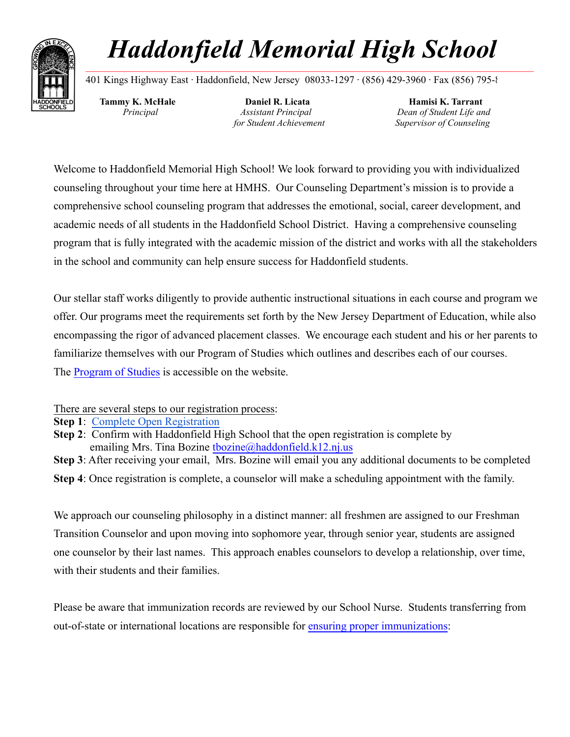

# *Haddonfield Memorial High School* **\_\_\_\_\_\_\_\_\_\_\_\_\_\_\_\_\_\_\_\_\_\_\_\_\_\_\_\_\_\_\_\_\_\_\_\_\_\_\_\_\_\_\_\_\_\_\_\_\_\_\_\_\_\_\_\_\_\_\_\_\_\_\_\_\_\_\_\_\_\_\_\_\_\_\_\_\_\_\_\_\_\_\_\_\_\_\_\_\_\_\_\_\_\_\_\_\_\_\_\_\_\_\_\_\_\_\_**

401 Kings Highway East ∙ Haddonfield, New Jersey 08033-1297 ∙ (856) 429-3960 ∙ Fax (856) 795-8

**Tammy K. McHale** *Principal*

**Daniel R. Licata** *Assistant Principal for Student Achievement*

**Hamisi K. Tarrant** *Dean of Student Life and Supervisor of Counseling*

Welcome to Haddonfield Memorial High School! We look forward to providing you with individualized counseling throughout your time here at HMHS. Our Counseling Department's mission is to provide a comprehensive school counseling program that addresses the emotional, social, career development, and academic needs of all students in the Haddonfield School District. Having a comprehensive counseling program that is fully integrated with the academic mission of the district and works with all the stakeholders in the school and community can help ensure success for Haddonfield students.

Our stellar staff works diligently to provide authentic instructional situations in each course and program we offer. Our programs meet the requirements set forth by the New Jersey Department of Education, while also encompassing the rigor of advanced placement classes. We encourage each student and his or her parents to familiarize themselves with our Program of Studies which outlines and describes each of our courses. The [Program of Studies](https://docs.google.com/document/d/1H4aNXTkc9G5BBofOl4EvK-eqypc1RlYS0Cwy5SweRVI/edit) is accessible on the website.

There are several steps to our registration process:

**Step 1**: [Complete Open Registration](https://genesis.haddonfield.k12.nj.us/genesis/openReg?screen=welcomeScreen&action=form)

**Step 2**: Confirm with Haddonfield High School that the open registration is complete by emailing Mrs. Tina Bozine [tbozine@haddonfield.k12.nj.us](mailto:tbozine@haddonfield.k12.nj.us)

**Step 3**: After receiving your email, Mrs. Bozine will email you any additional documents to be completed

**Step 4**: Once registration is complete, a counselor will make a scheduling appointment with the family.

We approach our counseling philosophy in a distinct manner: all freshmen are assigned to our Freshman Transition Counselor and upon moving into sophomore year, through senior year, students are assigned one counselor by their last names. This approach enables counselors to develop a relationship, over time, with their students and their families.

Please be aware that immunization records are reviewed by our School Nurse. Students transferring from out-of-state or international locations are responsible for [ensuring proper immunizations](https://www.nj.gov/health/cd/documents/imm_requirements/k12_parents.pdf):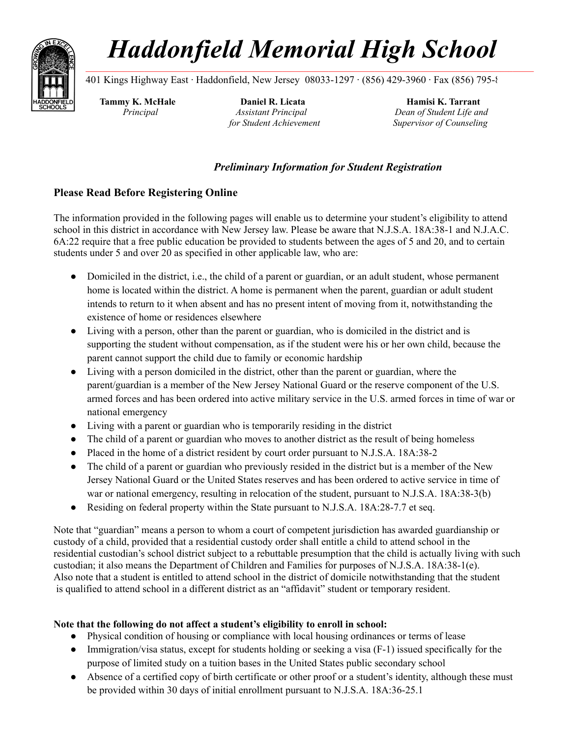

## *Haddonfield Memorial High School* **\_\_\_\_\_\_\_\_\_\_\_\_\_\_\_\_\_\_\_\_\_\_\_\_\_\_\_\_\_\_\_\_\_\_\_\_\_\_\_\_\_\_\_\_\_\_\_\_\_\_\_\_\_\_\_\_\_\_\_\_\_\_\_\_\_\_\_\_\_\_\_\_\_\_\_\_\_\_\_\_\_\_\_\_\_\_\_\_\_\_\_\_\_\_\_\_\_\_\_\_\_\_\_\_\_\_\_**

401 Kings Highway East ∙ Haddonfield, New Jersey 08033-1297 ∙ (856) 429-3960 ∙ Fax (856) 795-8

**Tammy K. McHale** *Principal*

**Daniel R. Licata** *Assistant Principal for Student Achievement*

**Hamisi K. Tarrant** *Dean of Student Life and Supervisor of Counseling*

### *Preliminary Information for Student Registration*

### **Please Read Before Registering Online**

The information provided in the following pages will enable us to determine your student's eligibility to attend school in this district in accordance with New Jersey law. Please be aware that N.J.S.A. 18A:38-1 and N.J.A.C. 6A:22 require that a free public education be provided to students between the ages of 5 and 20, and to certain students under 5 and over 20 as specified in other applicable law, who are:

- Domiciled in the district, i.e., the child of a parent or guardian, or an adult student, whose permanent home is located within the district. A home is permanent when the parent, guardian or adult student intends to return to it when absent and has no present intent of moving from it, notwithstanding the existence of home or residences elsewhere
- Living with a person, other than the parent or guardian, who is domiciled in the district and is supporting the student without compensation, as if the student were his or her own child, because the parent cannot support the child due to family or economic hardship
- Living with a person domiciled in the district, other than the parent or guardian, where the parent/guardian is a member of the New Jersey National Guard or the reserve component of the U.S. armed forces and has been ordered into active military service in the U.S. armed forces in time of war or national emergency
- Living with a parent or guardian who is temporarily residing in the district
- The child of a parent or guardian who moves to another district as the result of being homeless
- Placed in the home of a district resident by court order pursuant to N.J.S.A. 18A:38-2
- The child of a parent or guardian who previously resided in the district but is a member of the New Jersey National Guard or the United States reserves and has been ordered to active service in time of war or national emergency, resulting in relocation of the student, pursuant to N.J.S.A. 18A:38-3(b)
- Residing on federal property within the State pursuant to N.J.S.A. 18A:28-7.7 et seq.

Note that "guardian" means a person to whom a court of competent jurisdiction has awarded guardianship or custody of a child, provided that a residential custody order shall entitle a child to attend school in the residential custodian's school district subject to a rebuttable presumption that the child is actually living with such custodian; it also means the Department of Children and Families for purposes of N.J.S.A. 18A:38-1(e). Also note that a student is entitled to attend school in the district of domicile notwithstanding that the student is qualified to attend school in a different district as an "affidavit" student or temporary resident.

#### **Note that the following do not affect a student's eligibility to enroll in school:**

- Physical condition of housing or compliance with local housing ordinances or terms of lease
- Immigration/visa status, except for students holding or seeking a visa (F-1) issued specifically for the purpose of limited study on a tuition bases in the United States public secondary school
- Absence of a certified copy of birth certificate or other proof or a student's identity, although these must be provided within 30 days of initial enrollment pursuant to N.J.S.A. 18A:36-25.1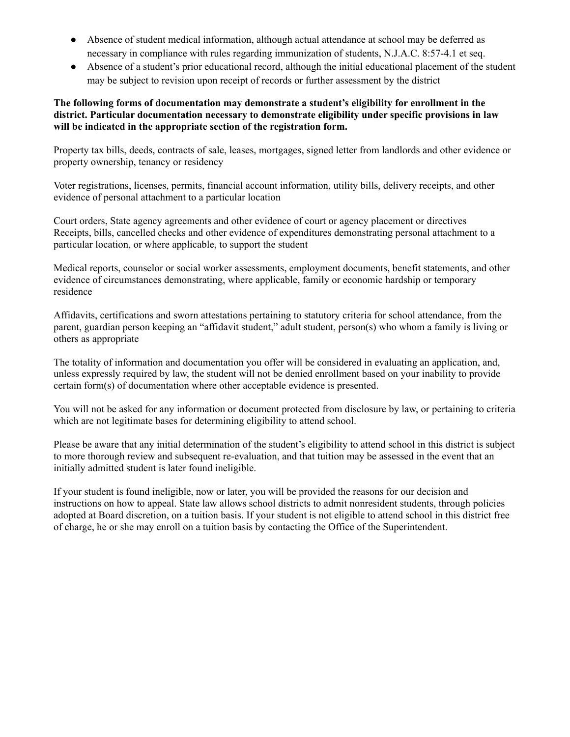- Absence of student medical information, although actual attendance at school may be deferred as necessary in compliance with rules regarding immunization of students, N.J.A.C. 8:57-4.1 et seq.
- Absence of a student's prior educational record, although the initial educational placement of the student may be subject to revision upon receipt of records or further assessment by the district

#### **The following forms of documentation may demonstrate a student's eligibility for enrollment in the district. Particular documentation necessary to demonstrate eligibility under specific provisions in law will be indicated in the appropriate section of the registration form.**

Property tax bills, deeds, contracts of sale, leases, mortgages, signed letter from landlords and other evidence or property ownership, tenancy or residency

Voter registrations, licenses, permits, financial account information, utility bills, delivery receipts, and other evidence of personal attachment to a particular location

Court orders, State agency agreements and other evidence of court or agency placement or directives Receipts, bills, cancelled checks and other evidence of expenditures demonstrating personal attachment to a particular location, or where applicable, to support the student

Medical reports, counselor or social worker assessments, employment documents, benefit statements, and other evidence of circumstances demonstrating, where applicable, family or economic hardship or temporary residence

Affidavits, certifications and sworn attestations pertaining to statutory criteria for school attendance, from the parent, guardian person keeping an "affidavit student," adult student, person(s) who whom a family is living or others as appropriate

The totality of information and documentation you offer will be considered in evaluating an application, and, unless expressly required by law, the student will not be denied enrollment based on your inability to provide certain form(s) of documentation where other acceptable evidence is presented.

You will not be asked for any information or document protected from disclosure by law, or pertaining to criteria which are not legitimate bases for determining eligibility to attend school.

Please be aware that any initial determination of the student's eligibility to attend school in this district is subject to more thorough review and subsequent re-evaluation, and that tuition may be assessed in the event that an initially admitted student is later found ineligible.

If your student is found ineligible, now or later, you will be provided the reasons for our decision and instructions on how to appeal. State law allows school districts to admit nonresident students, through policies adopted at Board discretion, on a tuition basis. If your student is not eligible to attend school in this district free of charge, he or she may enroll on a tuition basis by contacting the Office of the Superintendent.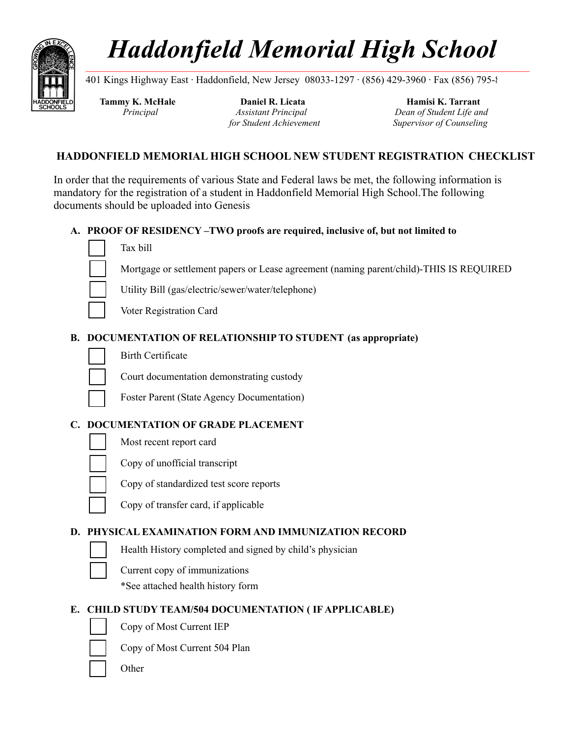

# *Haddonfield Memorial High School* **\_\_\_\_\_\_\_\_\_\_\_\_\_\_\_\_\_\_\_\_\_\_\_\_\_\_\_\_\_\_\_\_\_\_\_\_\_\_\_\_\_\_\_\_\_\_\_\_\_\_\_\_\_\_\_\_\_\_\_\_\_\_\_\_\_\_\_\_\_\_\_\_\_\_\_\_\_\_\_\_\_\_\_\_\_\_\_\_\_\_\_\_\_\_\_\_\_\_\_\_\_\_\_\_\_\_**

401 Kings Highway East ∙ Haddonfield, New Jersey 08033-1297 ∙ (856) 429-3960 ∙ Fax (856) 795-8

**Tammy K. McHale** *Principal*

⬜ Tax bill

**Daniel R. Licata** *Assistant Principal for Student Achievement*

**Hamisi K. Tarrant** *Dean of Student Life and Supervisor of Counseling*

### **HADDONFIELD MEMORIAL HIGH SCHOOL NEW STUDENT REGISTRATION CHECKLIST**

In order that the requirements of various State and Federal laws be met, the following information is mandatory for the registration of a student in Haddonfield Memorial High School.The following documents should be uploaded into Genesis

**A. PROOF OF RESIDENCY –TWO proofs are required, inclusive of, but not limited to**



- ⬜ Mortgage or settlement papers or Lease agreement (naming parent/child)-THIS IS REQUIRED
- 

⬜ Utility Bill (gas/electric/sewer/water/telephone)

⬜ Voter Registration Card

#### **B. DOCUMENTATION OF RELATIONSHIP TO STUDENT (as appropriate)**



⬜ Court documentation demonstrating custody

⬜ Foster Parent (State Agency Documentation)

#### **C. DOCUMENTATION OF GRADE PLACEMENT**

Most recent report card

⬜ Copy of unofficial transcript

⬜ Copy of standardized test score reports

⬜ Copy of transfer card, if applicable

#### **D. PHYSICAL EXAMINATION FORM AND IMMUNIZATION RECORD**

Health History completed and signed by child's physician

⬜ Current copy of immunizations

\*See attached health history form

#### **E. CHILD STUDY TEAM/504 DOCUMENTATION ( IF APPLICABLE)**

- 
- ⬜ Copy of Most Current IEP



⬜ Copy of Most Current 504 Plan

**Other**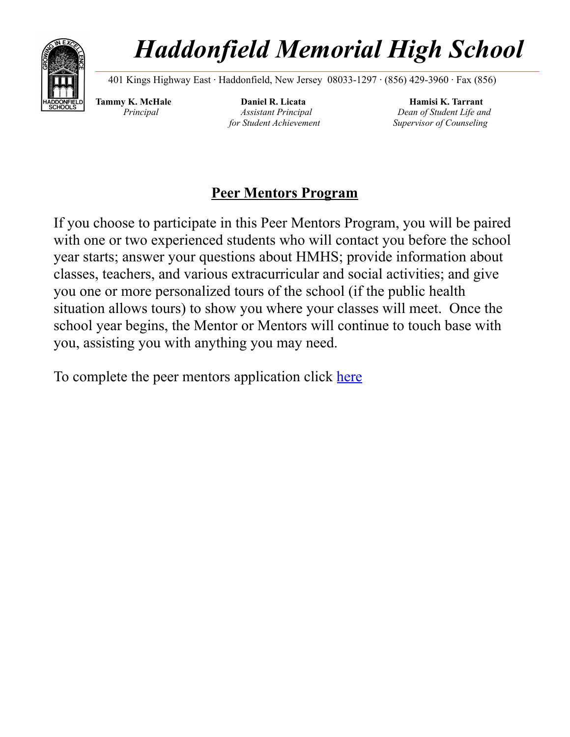

# *Haddonfield Memorial High School* **\_\_\_\_\_\_\_\_\_\_\_\_\_\_\_\_\_\_\_\_\_\_\_\_\_\_\_\_\_\_\_\_\_\_\_\_\_\_\_\_\_\_\_\_\_\_\_\_\_\_\_\_\_\_\_\_\_\_\_\_\_\_\_\_\_\_\_\_\_\_\_\_\_\_\_\_\_\_\_\_\_\_\_\_\_\_\_\_\_\_\_\_\_\_\_\_\_\_\_\_\_\_\_\_\_\_**

401 Kings Highway East ∙ Haddonfield, New Jersey 08033-1297 ∙ (856) 429-3960 ∙ Fax (856)

**Tammy K. McHale** *Principal*

**Daniel R. Licata** *Assistant Principal for Student Achievement*

**Hamisi K. Tarrant** *Dean of Student Life and Supervisor of Counseling*

### **Peer Mentors Program**

If you choose to participate in this Peer Mentors Program, you will be paired with one or two experienced students who will contact you before the school year starts; answer your questions about HMHS; provide information about classes, teachers, and various extracurricular and social activities; and give you one or more personalized tours of the school (if the public health situation allows tours) to show you where your classes will meet. Once the school year begins, the Mentor or Mentors will continue to touch base with you, assisting you with anything you may need.

To complete the peer mentors application click [here](https://docs.google.com/document/d/1Gs_GUb2i_cfTdHptoEW5yqQIDw8GTiRY800iYzqrHJA/edit)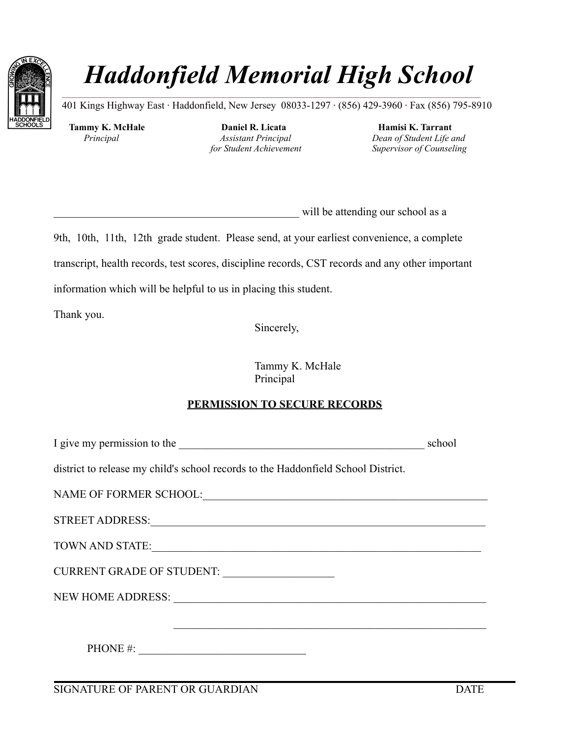

# *Haddonfield Memorial High School* **\_\_\_\_\_\_\_\_\_\_\_\_\_\_\_\_\_\_\_\_\_\_\_\_\_\_\_\_\_\_\_\_\_\_\_\_\_\_\_\_\_\_\_\_\_\_\_\_\_\_\_\_\_\_\_\_\_\_\_\_\_\_\_\_\_\_\_\_\_\_\_\_\_\_\_\_\_\_\_\_\_\_\_\_\_\_\_\_\_\_\_\_\_\_\_\_\_\_\_\_**

401 Kings Highway East ∙ Haddonfield, New Jersey 08033-1297 ∙ (856) 429-3960 ∙ Fax (856) 795-8910

**Tammy K. McHale** *Principal*

**Daniel R. Licata** *Assistant Principal for Student Achievement*

**Hamisi K. Tarrant** *Dean of Student Life and Supervisor of Counseling*

will be attending our school as a

9th, 10th, 11th, 12th grade student. Please send, at your earliest convenience, a complete transcript, health records, test scores, discipline records, CST records and any other important information which will be helpful to us in placing this student.

Thank you.

Sincerely,

Tammy K. McHale Principal

### **PERMISSION TO SECURE RECORDS**

| I give my permission to the                                                        | school |
|------------------------------------------------------------------------------------|--------|
| district to release my child's school records to the Haddon field School District. |        |
|                                                                                    |        |
|                                                                                    |        |
|                                                                                    |        |
|                                                                                    |        |
|                                                                                    |        |
|                                                                                    |        |
| PHONE #: $\qquad \qquad$                                                           |        |